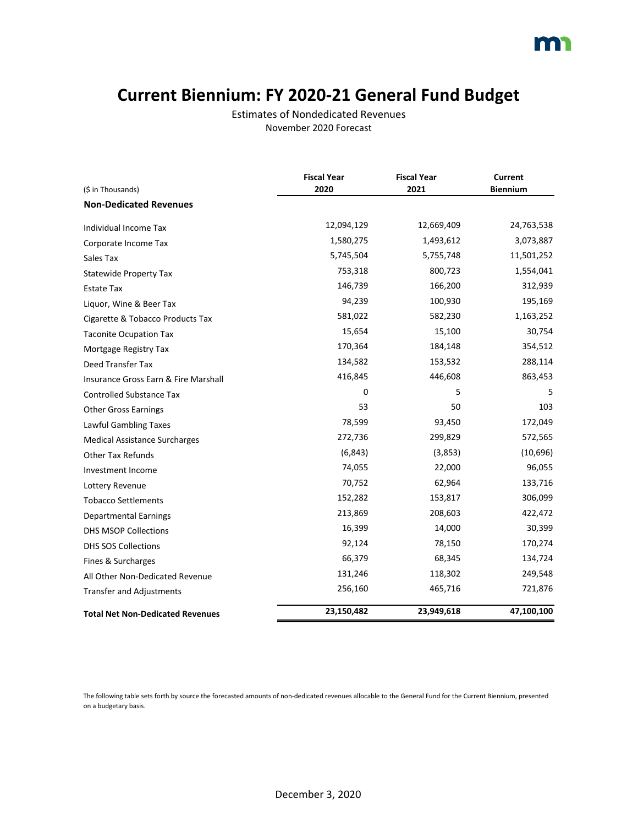### **Current Biennium: FY 2020-21 General Fund Budget**

Estimates of Nondedicated Revenues November 2020 Forecast

|                                         | <b>Fiscal Year</b> | <b>Fiscal Year</b> | <b>Current</b>  |
|-----------------------------------------|--------------------|--------------------|-----------------|
| (\$ in Thousands)                       | 2020               | 2021               | <b>Biennium</b> |
| <b>Non-Dedicated Revenues</b>           |                    |                    |                 |
| Individual Income Tax                   | 12,094,129         | 12,669,409         | 24,763,538      |
| Corporate Income Tax                    | 1,580,275          | 1,493,612          | 3,073,887       |
| Sales Tax                               | 5,745,504          | 5,755,748          | 11,501,252      |
| <b>Statewide Property Tax</b>           | 753,318            | 800,723            | 1,554,041       |
| Estate Tax                              | 146,739            | 166,200            | 312,939         |
| Liquor, Wine & Beer Tax                 | 94,239             | 100,930            | 195,169         |
| Cigarette & Tobacco Products Tax        | 581,022            | 582,230            | 1,163,252       |
| <b>Taconite Ocupation Tax</b>           | 15,654             | 15,100             | 30,754          |
| Mortgage Registry Tax                   | 170,364            | 184,148            | 354,512         |
| <b>Deed Transfer Tax</b>                | 134,582            | 153,532            | 288,114         |
| Insurance Gross Earn & Fire Marshall    | 416,845            | 446,608            | 863,453         |
| <b>Controlled Substance Tax</b>         | 0                  | 5                  | 5               |
| <b>Other Gross Earnings</b>             | 53                 | 50                 | 103             |
| Lawful Gambling Taxes                   | 78,599             | 93,450             | 172,049         |
| <b>Medical Assistance Surcharges</b>    | 272,736            | 299,829            | 572,565         |
| <b>Other Tax Refunds</b>                | (6, 843)           | (3,853)            | (10,696)        |
| Investment Income                       | 74,055             | 22,000             | 96,055          |
| Lottery Revenue                         | 70,752             | 62,964             | 133,716         |
| <b>Tobacco Settlements</b>              | 152,282            | 153,817            | 306,099         |
| <b>Departmental Earnings</b>            | 213,869            | 208,603            | 422,472         |
| DHS MSOP Collections                    | 16,399             | 14,000             | 30,399          |
| <b>DHS SOS Collections</b>              | 92,124             | 78,150             | 170,274         |
| Fines & Surcharges                      | 66,379             | 68,345             | 134,724         |
| All Other Non-Dedicated Revenue         | 131,246            | 118,302            | 249,548         |
| <b>Transfer and Adjustments</b>         | 256,160            | 465,716            | 721,876         |
| <b>Total Net Non-Dedicated Revenues</b> | 23,150,482         | 23,949,618         | 47,100,100      |

The following table sets forth by source the forecasted amounts of non-dedicated revenues allocable to the General Fund for the Current Biennium, presented on a budgetary basis.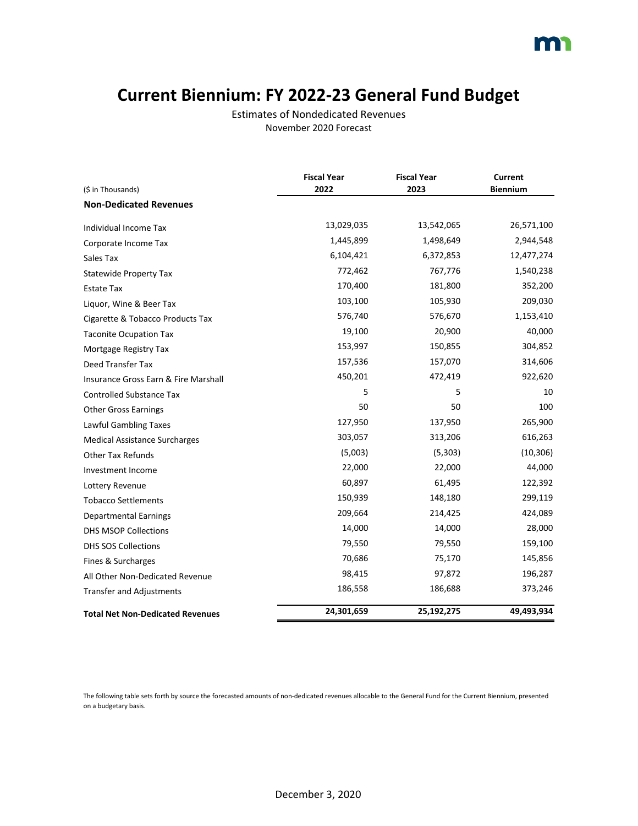### **Current Biennium: FY 2022-23 General Fund Budget**

Estimates of Nondedicated Revenues November 2020 Forecast

|                                         | <b>Fiscal Year</b> | <b>Fiscal Year</b> | Current         |
|-----------------------------------------|--------------------|--------------------|-----------------|
| (\$ in Thousands)                       | 2022               | 2023               | <b>Biennium</b> |
| <b>Non-Dedicated Revenues</b>           |                    |                    |                 |
| Individual Income Tax                   | 13,029,035         | 13,542,065         | 26,571,100      |
| Corporate Income Tax                    | 1,445,899          | 1,498,649          | 2,944,548       |
| Sales Tax                               | 6,104,421          | 6,372,853          | 12,477,274      |
| <b>Statewide Property Tax</b>           | 772,462            | 767,776            | 1,540,238       |
| Estate Tax                              | 170,400            | 181,800            | 352,200         |
| Liquor, Wine & Beer Tax                 | 103,100            | 105,930            | 209,030         |
| Cigarette & Tobacco Products Tax        | 576,740            | 576,670            | 1,153,410       |
| <b>Taconite Ocupation Tax</b>           | 19,100             | 20,900             | 40,000          |
| Mortgage Registry Tax                   | 153,997            | 150,855            | 304,852         |
| Deed Transfer Tax                       | 157,536            | 157,070            | 314,606         |
| Insurance Gross Earn & Fire Marshall    | 450,201            | 472,419            | 922,620         |
| <b>Controlled Substance Tax</b>         | 5                  | 5                  | 10              |
| <b>Other Gross Earnings</b>             | 50                 | 50                 | 100             |
| Lawful Gambling Taxes                   | 127,950            | 137,950            | 265,900         |
| <b>Medical Assistance Surcharges</b>    | 303,057            | 313,206            | 616,263         |
| <b>Other Tax Refunds</b>                | (5,003)            | (5,303)            | (10, 306)       |
| Investment Income                       | 22,000             | 22,000             | 44,000          |
| Lottery Revenue                         | 60,897             | 61,495             | 122,392         |
| <b>Tobacco Settlements</b>              | 150,939            | 148,180            | 299,119         |
| <b>Departmental Earnings</b>            | 209,664            | 214,425            | 424,089         |
| <b>DHS MSOP Collections</b>             | 14,000             | 14,000             | 28,000          |
| <b>DHS SOS Collections</b>              | 79,550             | 79,550             | 159,100         |
| Fines & Surcharges                      | 70,686             | 75,170             | 145,856         |
| All Other Non-Dedicated Revenue         | 98,415             | 97,872             | 196,287         |
| <b>Transfer and Adjustments</b>         | 186,558            | 186,688            | 373,246         |
| <b>Total Net Non-Dedicated Revenues</b> | 24,301,659         | 25,192,275         | 49,493,934      |

The following table sets forth by source the forecasted amounts of non-dedicated revenues allocable to the General Fund for the Current Biennium, presented on a budgetary basis.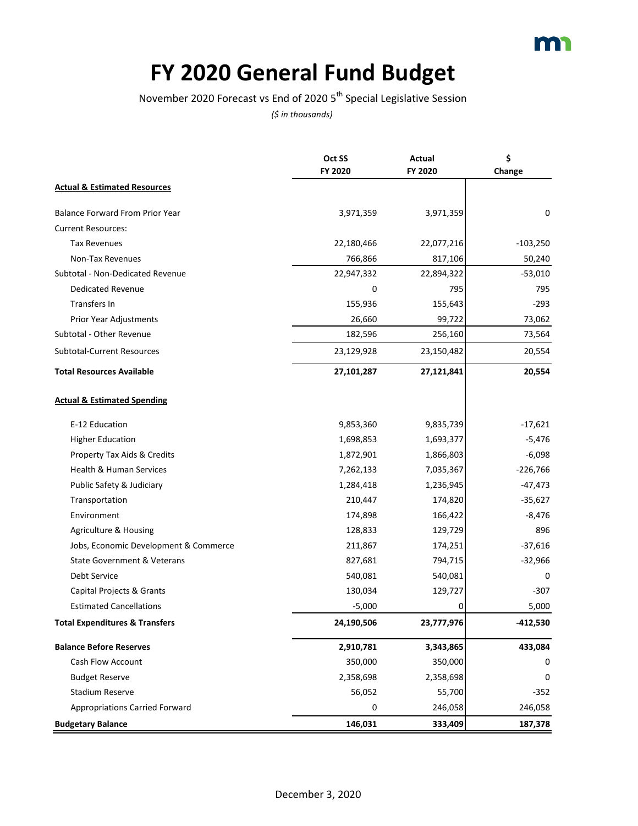

### **FY 2020 General Fund Budget**

November 2020 Forecast vs End of 2020 5<sup>th</sup> Special Legislative Session

|                                           | Oct SS     | Actual     | \$         |
|-------------------------------------------|------------|------------|------------|
|                                           | FY 2020    | FY 2020    | Change     |
| <b>Actual &amp; Estimated Resources</b>   |            |            |            |
| <b>Balance Forward From Prior Year</b>    | 3,971,359  | 3,971,359  | 0          |
| <b>Current Resources:</b>                 |            |            |            |
| <b>Tax Revenues</b>                       | 22,180,466 | 22,077,216 | $-103,250$ |
| Non-Tax Revenues                          | 766,866    | 817,106    | 50,240     |
| Subtotal - Non-Dedicated Revenue          | 22,947,332 | 22,894,322 | $-53,010$  |
| <b>Dedicated Revenue</b>                  | 0          | 795        | 795        |
| <b>Transfers In</b>                       | 155,936    | 155,643    | $-293$     |
| Prior Year Adjustments                    | 26,660     | 99,722     | 73,062     |
| Subtotal - Other Revenue                  | 182,596    | 256,160    | 73,564     |
| Subtotal-Current Resources                | 23,129,928 | 23,150,482 | 20,554     |
| <b>Total Resources Available</b>          | 27,101,287 | 27,121,841 | 20,554     |
| <b>Actual &amp; Estimated Spending</b>    |            |            |            |
| E-12 Education                            | 9,853,360  | 9,835,739  | $-17,621$  |
| <b>Higher Education</b>                   | 1,698,853  | 1,693,377  | $-5,476$   |
| Property Tax Aids & Credits               | 1,872,901  | 1,866,803  | $-6,098$   |
| Health & Human Services                   | 7,262,133  | 7,035,367  | $-226,766$ |
| Public Safety & Judiciary                 | 1,284,418  | 1,236,945  | $-47,473$  |
| Transportation                            | 210,447    | 174,820    | $-35,627$  |
| Environment                               | 174,898    | 166,422    | $-8,476$   |
| Agriculture & Housing                     | 128,833    | 129,729    | 896        |
| Jobs, Economic Development & Commerce     | 211,867    | 174,251    | $-37,616$  |
| State Government & Veterans               | 827,681    | 794,715    | $-32,966$  |
| Debt Service                              | 540,081    | 540,081    | 0          |
| Capital Projects & Grants                 | 130,034    | 129,727    | $-307$     |
| <b>Estimated Cancellations</b>            | $-5,000$   | 0          | 5,000      |
| <b>Total Expenditures &amp; Transfers</b> | 24,190,506 | 23,777,976 | -412,530   |
| <b>Balance Before Reserves</b>            | 2,910,781  | 3,343,865  | 433,084    |
| <b>Cash Flow Account</b>                  | 350,000    | 350,000    | 0          |
| <b>Budget Reserve</b>                     | 2,358,698  | 2,358,698  | 0          |
| Stadium Reserve                           | 56,052     | 55,700     | $-352$     |
| <b>Appropriations Carried Forward</b>     | 0          | 246,058    | 246,058    |
| <b>Budgetary Balance</b>                  | 146,031    | 333,409    | 187,378    |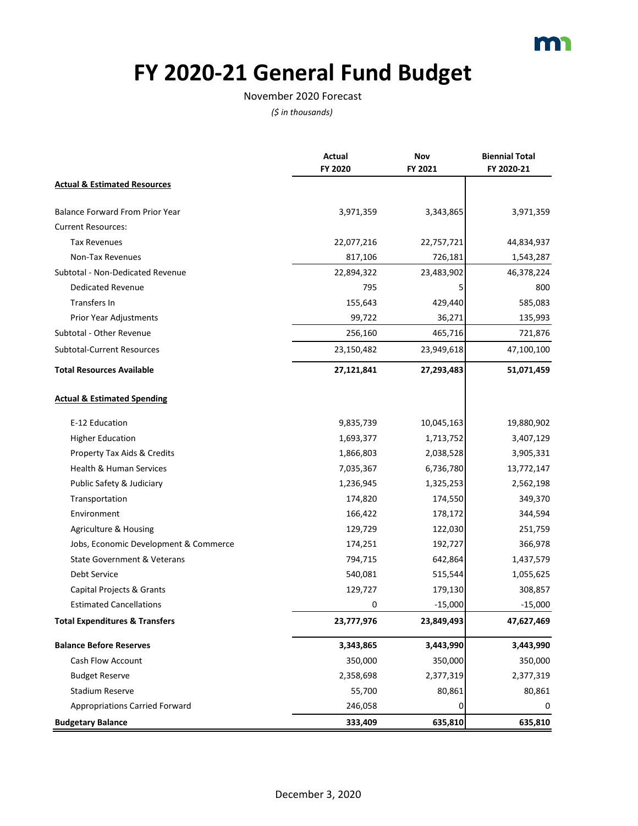

# **FY 2020-21 General Fund Budget**

#### November 2020 Forecast

|                                           | Actual     | Nov        | <b>Biennial Total</b> |
|-------------------------------------------|------------|------------|-----------------------|
|                                           | FY 2020    | FY 2021    | FY 2020-21            |
| <b>Actual &amp; Estimated Resources</b>   |            |            |                       |
| <b>Balance Forward From Prior Year</b>    | 3,971,359  | 3,343,865  | 3,971,359             |
| <b>Current Resources:</b>                 |            |            |                       |
| <b>Tax Revenues</b>                       | 22,077,216 | 22,757,721 | 44,834,937            |
| Non-Tax Revenues                          | 817,106    | 726,181    | 1,543,287             |
| Subtotal - Non-Dedicated Revenue          | 22,894,322 | 23,483,902 | 46,378,224            |
| <b>Dedicated Revenue</b>                  | 795        | 5          | 800                   |
| Transfers In                              | 155,643    | 429,440    | 585,083               |
| Prior Year Adjustments                    | 99,722     | 36,271     | 135,993               |
| Subtotal - Other Revenue                  | 256,160    | 465,716    | 721,876               |
| Subtotal-Current Resources                | 23,150,482 | 23,949,618 | 47,100,100            |
| <b>Total Resources Available</b>          | 27,121,841 | 27,293,483 | 51,071,459            |
| <b>Actual &amp; Estimated Spending</b>    |            |            |                       |
| E-12 Education                            | 9,835,739  | 10,045,163 | 19,880,902            |
| <b>Higher Education</b>                   | 1,693,377  | 1,713,752  | 3,407,129             |
| Property Tax Aids & Credits               | 1,866,803  | 2,038,528  | 3,905,331             |
| Health & Human Services                   | 7,035,367  | 6,736,780  | 13,772,147            |
| Public Safety & Judiciary                 | 1,236,945  | 1,325,253  | 2,562,198             |
| Transportation                            | 174,820    | 174,550    | 349,370               |
| Environment                               | 166,422    | 178,172    | 344,594               |
| Agriculture & Housing                     | 129,729    | 122,030    | 251,759               |
| Jobs, Economic Development & Commerce     | 174,251    | 192,727    | 366,978               |
| <b>State Government &amp; Veterans</b>    | 794,715    | 642,864    | 1,437,579             |
| Debt Service                              | 540,081    | 515,544    | 1,055,625             |
| Capital Projects & Grants                 | 129,727    | 179,130    | 308,857               |
| <b>Estimated Cancellations</b>            | 0          | $-15,000$  | $-15,000$             |
| <b>Total Expenditures &amp; Transfers</b> | 23,777,976 | 23,849,493 | 47,627,469            |
| <b>Balance Before Reserves</b>            | 3,343,865  | 3,443,990  | 3,443,990             |
| <b>Cash Flow Account</b>                  | 350,000    | 350,000    | 350,000               |
| <b>Budget Reserve</b>                     | 2,358,698  | 2,377,319  | 2,377,319             |
| <b>Stadium Reserve</b>                    | 55,700     | 80,861     | 80,861                |
| <b>Appropriations Carried Forward</b>     | 246,058    | 0          | 0                     |
| <b>Budgetary Balance</b>                  | 333,409    | 635,810    | 635,810               |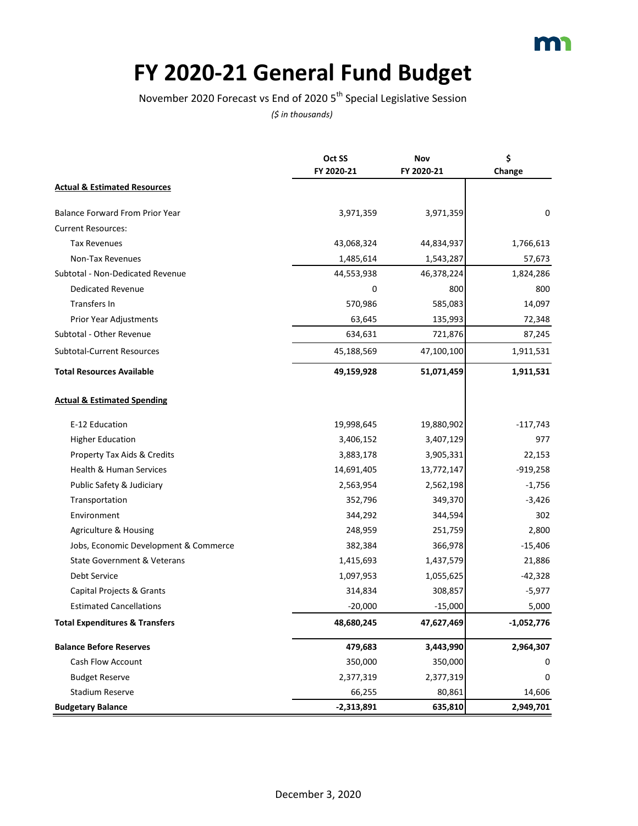

# **FY 2020-21 General Fund Budget**

November 2020 Forecast vs End of 2020 5<sup>th</sup> Special Legislative Session

|                                           | Oct SS       | Nov        | \$           |
|-------------------------------------------|--------------|------------|--------------|
|                                           | FY 2020-21   | FY 2020-21 | Change       |
| <b>Actual &amp; Estimated Resources</b>   |              |            |              |
| <b>Balance Forward From Prior Year</b>    | 3,971,359    | 3,971,359  | 0            |
| <b>Current Resources:</b>                 |              |            |              |
| <b>Tax Revenues</b>                       | 43,068,324   | 44,834,937 | 1,766,613    |
| Non-Tax Revenues                          | 1,485,614    | 1,543,287  | 57,673       |
| Subtotal - Non-Dedicated Revenue          | 44,553,938   | 46,378,224 | 1,824,286    |
| <b>Dedicated Revenue</b>                  | 0            | 800        | 800          |
| Transfers In                              | 570,986      | 585,083    | 14,097       |
| Prior Year Adjustments                    | 63,645       | 135,993    | 72,348       |
| Subtotal - Other Revenue                  | 634,631      | 721,876    | 87,245       |
| Subtotal-Current Resources                | 45,188,569   | 47,100,100 | 1,911,531    |
| <b>Total Resources Available</b>          | 49,159,928   | 51,071,459 | 1,911,531    |
| <b>Actual &amp; Estimated Spending</b>    |              |            |              |
| E-12 Education                            | 19,998,645   | 19,880,902 | $-117,743$   |
| <b>Higher Education</b>                   | 3,406,152    | 3,407,129  | 977          |
| Property Tax Aids & Credits               | 3,883,178    | 3,905,331  | 22,153       |
| Health & Human Services                   | 14,691,405   | 13,772,147 | $-919,258$   |
| Public Safety & Judiciary                 | 2,563,954    | 2,562,198  | $-1,756$     |
| Transportation                            | 352,796      | 349,370    | $-3,426$     |
| Environment                               | 344,292      | 344,594    | 302          |
| Agriculture & Housing                     | 248,959      | 251,759    | 2,800        |
| Jobs, Economic Development & Commerce     | 382,384      | 366,978    | $-15,406$    |
| State Government & Veterans               | 1,415,693    | 1,437,579  | 21,886       |
| <b>Debt Service</b>                       | 1,097,953    | 1,055,625  | $-42,328$    |
| Capital Projects & Grants                 | 314,834      | 308,857    | $-5,977$     |
| <b>Estimated Cancellations</b>            | $-20,000$    | $-15,000$  | 5,000        |
| <b>Total Expenditures &amp; Transfers</b> | 48,680,245   | 47,627,469 | $-1,052,776$ |
| <b>Balance Before Reserves</b>            | 479,683      | 3,443,990  | 2,964,307    |
| Cash Flow Account                         | 350,000      | 350,000    | 0            |
| <b>Budget Reserve</b>                     | 2,377,319    | 2,377,319  | 0            |
| Stadium Reserve                           | 66,255       | 80,861     | 14,606       |
| <b>Budgetary Balance</b>                  | $-2,313,891$ | 635,810    | 2,949,701    |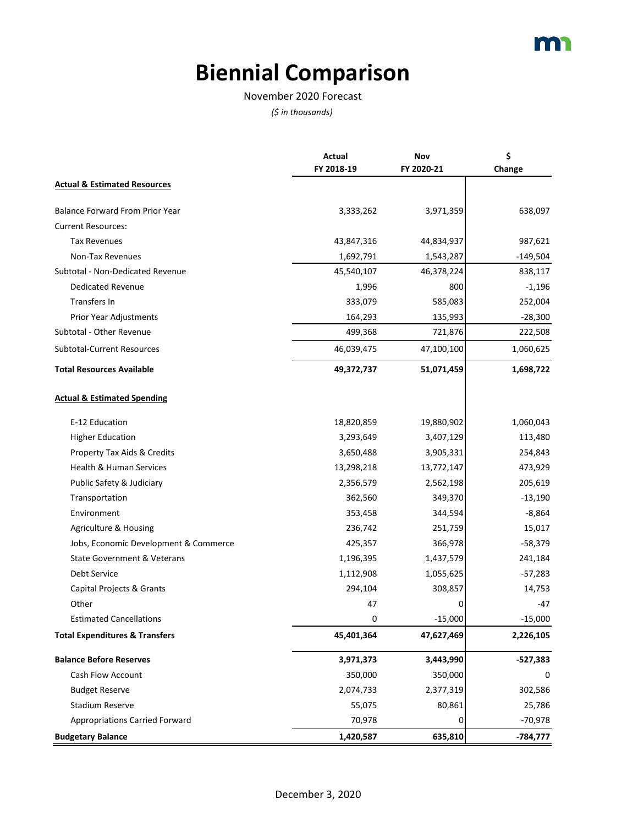### **Biennial Comparison**

#### November 2020 Forecast

|                                           | Actual<br>FY 2018-19 | Nov<br>FY 2020-21 | \$<br>Change |
|-------------------------------------------|----------------------|-------------------|--------------|
| <b>Actual &amp; Estimated Resources</b>   |                      |                   |              |
| <b>Balance Forward From Prior Year</b>    | 3,333,262            | 3,971,359         | 638,097      |
| <b>Current Resources:</b>                 |                      |                   |              |
| <b>Tax Revenues</b>                       | 43,847,316           | 44,834,937        | 987,621      |
| Non-Tax Revenues                          | 1,692,791            | 1,543,287         | $-149,504$   |
| Subtotal - Non-Dedicated Revenue          | 45,540,107           | 46,378,224        | 838,117      |
| <b>Dedicated Revenue</b>                  | 1,996                | 800               | $-1,196$     |
| Transfers In                              | 333,079              | 585,083           | 252,004      |
| Prior Year Adjustments                    | 164,293              | 135,993           | $-28,300$    |
| Subtotal - Other Revenue                  | 499,368              | 721,876           | 222,508      |
| <b>Subtotal-Current Resources</b>         | 46,039,475           | 47,100,100        | 1,060,625    |
| <b>Total Resources Available</b>          | 49,372,737           | 51,071,459        | 1,698,722    |
| <b>Actual &amp; Estimated Spending</b>    |                      |                   |              |
| E-12 Education                            | 18,820,859           | 19,880,902        | 1,060,043    |
| <b>Higher Education</b>                   | 3,293,649            | 3,407,129         | 113,480      |
| Property Tax Aids & Credits               | 3,650,488            | 3,905,331         | 254,843      |
| Health & Human Services                   | 13,298,218           | 13,772,147        | 473,929      |
| Public Safety & Judiciary                 | 2,356,579            | 2,562,198         | 205,619      |
| Transportation                            | 362,560              | 349,370           | $-13,190$    |
| Environment                               | 353,458              | 344,594           | $-8,864$     |
| Agriculture & Housing                     | 236,742              | 251,759           | 15,017       |
| Jobs, Economic Development & Commerce     | 425,357              | 366,978           | $-58,379$    |
| <b>State Government &amp; Veterans</b>    | 1,196,395            | 1,437,579         | 241,184      |
| Debt Service                              | 1,112,908            | 1,055,625         | $-57,283$    |
| Capital Projects & Grants                 | 294,104              | 308,857           | 14,753       |
| Other                                     | 47                   | 0                 | $-47$        |
| <b>Estimated Cancellations</b>            | 0                    | $-15,000$         | $-15,000$    |
| <b>Total Expenditures &amp; Transfers</b> | 45,401,364           | 47,627,469        | 2,226,105    |
| <b>Balance Before Reserves</b>            | 3,971,373            | 3,443,990         | -527,383     |
| Cash Flow Account                         | 350,000              | 350,000           | 0            |
| <b>Budget Reserve</b>                     | 2,074,733            | 2,377,319         | 302,586      |
| <b>Stadium Reserve</b>                    | 55,075               | 80,861            | 25,786       |
| <b>Appropriations Carried Forward</b>     | 70,978               | 0                 | $-70,978$    |
| <b>Budgetary Balance</b>                  | 1,420,587            | 635,810           | -784,777     |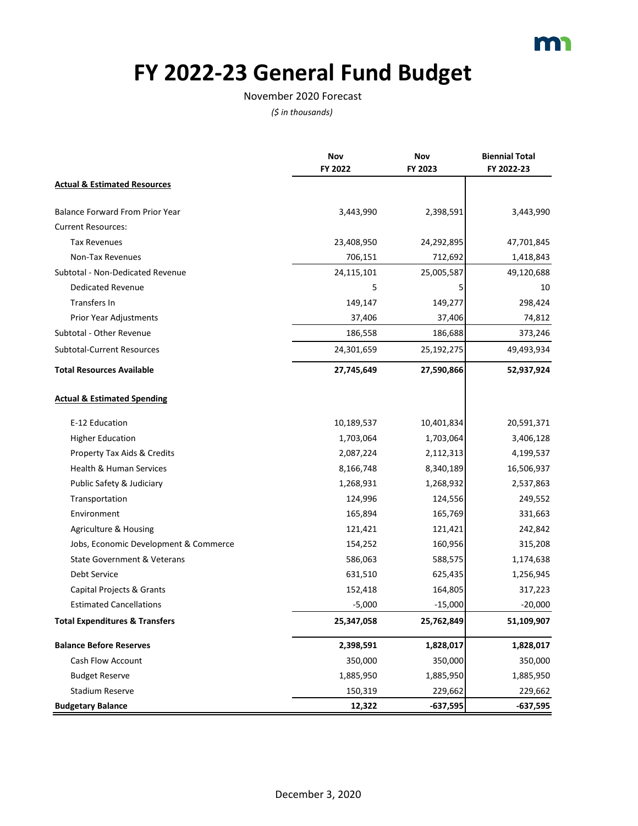

# **FY 2022-23 General Fund Budget**

#### November 2020 Forecast

|                                           | Nov<br>FY 2022 | Nov<br>FY 2023 | <b>Biennial Total</b><br>FY 2022-23 |
|-------------------------------------------|----------------|----------------|-------------------------------------|
| <b>Actual &amp; Estimated Resources</b>   |                |                |                                     |
| <b>Balance Forward From Prior Year</b>    | 3,443,990      | 2,398,591      | 3,443,990                           |
| <b>Current Resources:</b>                 |                |                |                                     |
| <b>Tax Revenues</b>                       | 23,408,950     | 24,292,895     | 47,701,845                          |
| Non-Tax Revenues                          | 706,151        | 712,692        | 1,418,843                           |
| Subtotal - Non-Dedicated Revenue          | 24,115,101     | 25,005,587     | 49,120,688                          |
| <b>Dedicated Revenue</b>                  | 5              | 5              | 10                                  |
| Transfers In                              | 149,147        | 149,277        | 298,424                             |
| Prior Year Adjustments                    | 37,406         | 37,406         | 74,812                              |
| Subtotal - Other Revenue                  | 186,558        | 186,688        | 373,246                             |
| <b>Subtotal-Current Resources</b>         | 24,301,659     | 25,192,275     | 49,493,934                          |
| <b>Total Resources Available</b>          | 27,745,649     | 27,590,866     | 52,937,924                          |
| <b>Actual &amp; Estimated Spending</b>    |                |                |                                     |
| E-12 Education                            | 10,189,537     | 10,401,834     | 20,591,371                          |
| <b>Higher Education</b>                   | 1,703,064      | 1,703,064      | 3,406,128                           |
| Property Tax Aids & Credits               | 2,087,224      | 2,112,313      | 4,199,537                           |
| Health & Human Services                   | 8,166,748      | 8,340,189      | 16,506,937                          |
| Public Safety & Judiciary                 | 1,268,931      | 1,268,932      | 2,537,863                           |
| Transportation                            | 124,996        | 124,556        | 249,552                             |
| Environment                               | 165,894        | 165,769        | 331,663                             |
| Agriculture & Housing                     | 121,421        | 121,421        | 242,842                             |
| Jobs, Economic Development & Commerce     | 154,252        | 160,956        | 315,208                             |
| <b>State Government &amp; Veterans</b>    | 586,063        | 588,575        | 1,174,638                           |
| Debt Service                              | 631,510        | 625,435        | 1,256,945                           |
| Capital Projects & Grants                 | 152,418        | 164,805        | 317,223                             |
| <b>Estimated Cancellations</b>            | $-5,000$       | $-15,000$      | $-20,000$                           |
| <b>Total Expenditures &amp; Transfers</b> | 25,347,058     | 25,762,849     | 51,109,907                          |
| <b>Balance Before Reserves</b>            | 2,398,591      | 1,828,017      | 1,828,017                           |
| Cash Flow Account                         | 350,000        | 350,000        | 350,000                             |
| <b>Budget Reserve</b>                     | 1,885,950      | 1,885,950      | 1,885,950                           |
| <b>Stadium Reserve</b>                    | 150,319        | 229,662        | 229,662                             |
| <b>Budgetary Balance</b>                  | 12,322         | $-637,595$     | -637,595                            |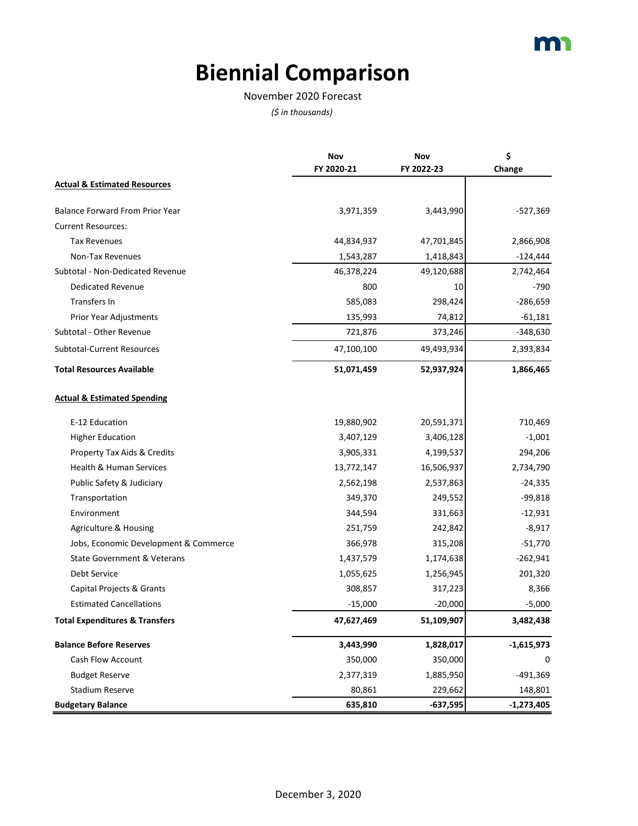### **Biennial Comparison**

#### November 2020 Forecast

|                                           | Nov<br>FY 2020-21 | Nov<br>FY 2022-23 | \$<br>Change |
|-------------------------------------------|-------------------|-------------------|--------------|
| <b>Actual &amp; Estimated Resources</b>   |                   |                   |              |
| <b>Balance Forward From Prior Year</b>    | 3,971,359         | 3,443,990         | -527,369     |
| <b>Current Resources:</b>                 |                   |                   |              |
| <b>Tax Revenues</b>                       | 44,834,937        | 47,701,845        | 2,866,908    |
| Non-Tax Revenues                          | 1,543,287         | 1,418,843         | $-124,444$   |
| Subtotal - Non-Dedicated Revenue          | 46,378,224        | 49,120,688        | 2,742,464    |
| <b>Dedicated Revenue</b>                  | 800               | 10                | $-790$       |
| Transfers In                              | 585,083           | 298,424           | $-286,659$   |
| Prior Year Adjustments                    | 135,993           | 74,812            | $-61,181$    |
| Subtotal - Other Revenue                  | 721,876           | 373,246           | $-348,630$   |
| <b>Subtotal-Current Resources</b>         | 47,100,100        | 49,493,934        | 2,393,834    |
| <b>Total Resources Available</b>          | 51,071,459        | 52,937,924        | 1,866,465    |
| <b>Actual &amp; Estimated Spending</b>    |                   |                   |              |
| E-12 Education                            | 19,880,902        | 20,591,371        | 710,469      |
| <b>Higher Education</b>                   | 3,407,129         | 3,406,128         | $-1,001$     |
| Property Tax Aids & Credits               | 3,905,331         | 4,199,537         | 294,206      |
| Health & Human Services                   | 13,772,147        | 16,506,937        | 2,734,790    |
| Public Safety & Judiciary                 | 2,562,198         | 2,537,863         | $-24,335$    |
| Transportation                            | 349,370           | 249,552           | $-99,818$    |
| Environment                               | 344,594           | 331,663           | $-12,931$    |
| Agriculture & Housing                     | 251,759           | 242,842           | $-8,917$     |
| Jobs, Economic Development & Commerce     | 366,978           | 315,208           | $-51,770$    |
| State Government & Veterans               | 1,437,579         | 1,174,638         | $-262,941$   |
| Debt Service                              | 1,055,625         | 1,256,945         | 201,320      |
| Capital Projects & Grants                 | 308,857           | 317,223           | 8,366        |
| <b>Estimated Cancellations</b>            | $-15,000$         | $-20,000$         | $-5,000$     |
| <b>Total Expenditures &amp; Transfers</b> | 47,627,469        | 51,109,907        | 3,482,438    |
| <b>Balance Before Reserves</b>            | 3,443,990         | 1,828,017         | $-1,615,973$ |
| Cash Flow Account                         | 350,000           | 350,000           | 0            |
| <b>Budget Reserve</b>                     | 2,377,319         | 1,885,950         | -491,369     |
| Stadium Reserve                           | 80,861            | 229,662           | 148,801      |
| <b>Budgetary Balance</b>                  | 635,810           | $-637,595$        | $-1,273,405$ |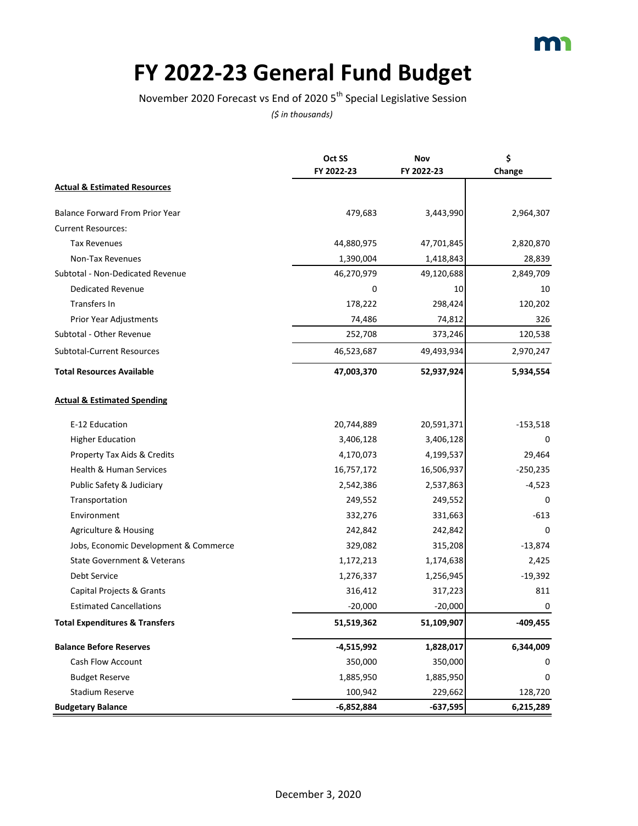

### **FY 2022-23 General Fund Budget**

November 2020 Forecast vs End of 2020 5<sup>th</sup> Special Legislative Session

|                                           | Oct SS       | Nov        | \$           |
|-------------------------------------------|--------------|------------|--------------|
|                                           | FY 2022-23   | FY 2022-23 | Change       |
| <b>Actual &amp; Estimated Resources</b>   |              |            |              |
| Balance Forward From Prior Year           | 479,683      | 3,443,990  | 2,964,307    |
| <b>Current Resources:</b>                 |              |            |              |
| <b>Tax Revenues</b>                       | 44,880,975   | 47,701,845 | 2,820,870    |
| Non-Tax Revenues                          | 1,390,004    | 1,418,843  | 28,839       |
| Subtotal - Non-Dedicated Revenue          | 46,270,979   | 49,120,688 | 2,849,709    |
| <b>Dedicated Revenue</b>                  | 0            | 10         | 10           |
| Transfers In                              | 178,222      | 298,424    | 120,202      |
| Prior Year Adjustments                    | 74,486       | 74,812     | 326          |
| Subtotal - Other Revenue                  | 252,708      | 373,246    | 120,538      |
| Subtotal-Current Resources                | 46,523,687   | 49,493,934 | 2,970,247    |
| <b>Total Resources Available</b>          | 47,003,370   | 52,937,924 | 5,934,554    |
| <b>Actual &amp; Estimated Spending</b>    |              |            |              |
| E-12 Education                            | 20,744,889   | 20,591,371 | $-153,518$   |
| <b>Higher Education</b>                   | 3,406,128    | 3,406,128  | 0            |
| Property Tax Aids & Credits               | 4,170,073    | 4,199,537  | 29,464       |
| Health & Human Services                   | 16,757,172   | 16,506,937 | $-250,235$   |
| Public Safety & Judiciary                 | 2,542,386    | 2,537,863  | $-4,523$     |
| Transportation                            | 249,552      | 249,552    | <sup>0</sup> |
| Environment                               | 332,276      | 331,663    | $-613$       |
| Agriculture & Housing                     | 242,842      | 242,842    | 0            |
| Jobs, Economic Development & Commerce     | 329,082      | 315,208    | $-13,874$    |
| <b>State Government &amp; Veterans</b>    | 1,172,213    | 1,174,638  | 2,425        |
| Debt Service                              | 1,276,337    | 1,256,945  | $-19,392$    |
| Capital Projects & Grants                 | 316,412      | 317,223    | 811          |
| <b>Estimated Cancellations</b>            | $-20,000$    | $-20,000$  | 0            |
| <b>Total Expenditures &amp; Transfers</b> | 51,519,362   | 51,109,907 | -409,455     |
| <b>Balance Before Reserves</b>            | $-4,515,992$ | 1,828,017  | 6,344,009    |
| Cash Flow Account                         | 350,000      | 350,000    | 0            |
| <b>Budget Reserve</b>                     | 1,885,950    | 1,885,950  | 0            |
| <b>Stadium Reserve</b>                    | 100,942      | 229,662    | 128,720      |
| <b>Budgetary Balance</b>                  | $-6,852,884$ | $-637,595$ | 6,215,289    |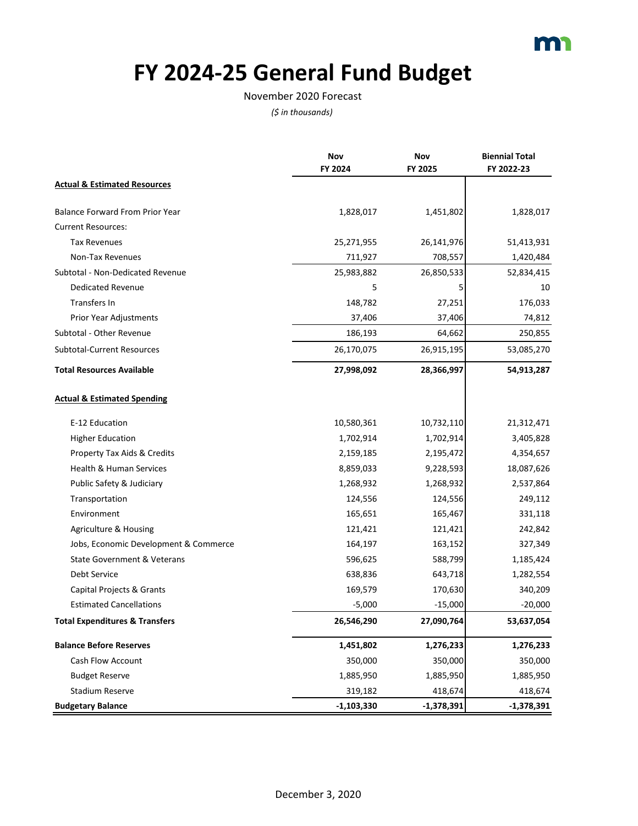

# **FY 2024-25 General Fund Budget**

#### November 2020 Forecast

|                                           | Nov<br>FY 2024 | Nov<br>FY 2025 | <b>Biennial Total</b><br>FY 2022-23 |
|-------------------------------------------|----------------|----------------|-------------------------------------|
| <b>Actual &amp; Estimated Resources</b>   |                |                |                                     |
| <b>Balance Forward From Prior Year</b>    | 1,828,017      | 1,451,802      | 1,828,017                           |
| <b>Current Resources:</b>                 |                |                |                                     |
| <b>Tax Revenues</b>                       | 25,271,955     | 26,141,976     | 51,413,931                          |
| Non-Tax Revenues                          | 711,927        | 708,557        | 1,420,484                           |
| Subtotal - Non-Dedicated Revenue          | 25,983,882     | 26,850,533     | 52,834,415                          |
| <b>Dedicated Revenue</b>                  | 5              | 5              | 10                                  |
| Transfers In                              | 148,782        | 27,251         | 176,033                             |
| Prior Year Adjustments                    | 37,406         | 37,406         | 74,812                              |
| Subtotal - Other Revenue                  | 186,193        | 64,662         | 250,855                             |
| Subtotal-Current Resources                | 26,170,075     | 26,915,195     | 53,085,270                          |
| <b>Total Resources Available</b>          | 27,998,092     | 28,366,997     | 54,913,287                          |
| <b>Actual &amp; Estimated Spending</b>    |                |                |                                     |
| E-12 Education                            | 10,580,361     | 10,732,110     | 21,312,471                          |
| <b>Higher Education</b>                   | 1,702,914      | 1,702,914      | 3,405,828                           |
| Property Tax Aids & Credits               | 2,159,185      | 2,195,472      | 4,354,657                           |
| Health & Human Services                   | 8,859,033      | 9,228,593      | 18,087,626                          |
| Public Safety & Judiciary                 | 1,268,932      | 1,268,932      | 2,537,864                           |
| Transportation                            | 124,556        | 124,556        | 249,112                             |
| Environment                               | 165,651        | 165,467        | 331,118                             |
| Agriculture & Housing                     | 121,421        | 121,421        | 242,842                             |
| Jobs, Economic Development & Commerce     | 164,197        | 163,152        | 327,349                             |
| <b>State Government &amp; Veterans</b>    | 596,625        | 588,799        | 1,185,424                           |
| Debt Service                              | 638,836        | 643,718        | 1,282,554                           |
| Capital Projects & Grants                 | 169,579        | 170,630        | 340,209                             |
| <b>Estimated Cancellations</b>            | $-5,000$       | $-15,000$      | $-20,000$                           |
| <b>Total Expenditures &amp; Transfers</b> | 26,546,290     | 27,090,764     | 53,637,054                          |
| <b>Balance Before Reserves</b>            | 1,451,802      | 1,276,233      | 1,276,233                           |
| Cash Flow Account                         | 350,000        | 350,000        | 350,000                             |
| <b>Budget Reserve</b>                     | 1,885,950      | 1,885,950      | 1,885,950                           |
| <b>Stadium Reserve</b>                    | 319,182        | 418,674        | 418,674                             |
| <b>Budgetary Balance</b>                  | $-1,103,330$   | $-1,378,391$   | $-1,378,391$                        |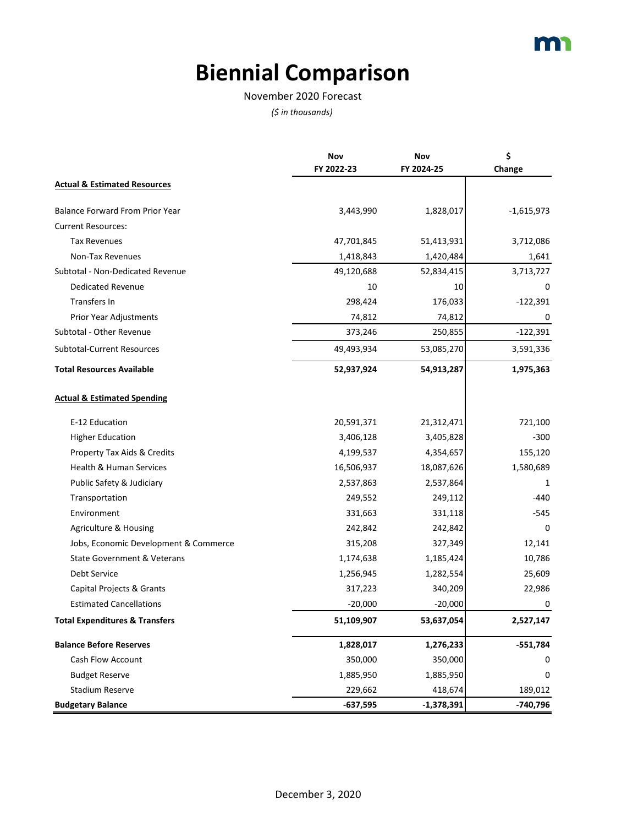### **Biennial Comparison**

#### November 2020 Forecast

|                                           | Nov<br>FY 2022-23 | Nov<br>FY 2024-25 | \$<br>Change |
|-------------------------------------------|-------------------|-------------------|--------------|
| <b>Actual &amp; Estimated Resources</b>   |                   |                   |              |
| <b>Balance Forward From Prior Year</b>    | 3,443,990         | 1,828,017         | $-1,615,973$ |
| <b>Current Resources:</b>                 |                   |                   |              |
| <b>Tax Revenues</b>                       | 47,701,845        | 51,413,931        | 3,712,086    |
| Non-Tax Revenues                          | 1,418,843         | 1,420,484         | 1,641        |
| Subtotal - Non-Dedicated Revenue          | 49,120,688        | 52,834,415        | 3,713,727    |
| <b>Dedicated Revenue</b>                  | 10                | 10                | 0            |
| Transfers In                              | 298,424           | 176,033           | $-122,391$   |
| Prior Year Adjustments                    | 74,812            | 74,812            | 0            |
| Subtotal - Other Revenue                  | 373,246           | 250,855           | $-122,391$   |
| <b>Subtotal-Current Resources</b>         | 49,493,934        | 53,085,270        | 3,591,336    |
| <b>Total Resources Available</b>          | 52,937,924        | 54,913,287        | 1,975,363    |
| <b>Actual &amp; Estimated Spending</b>    |                   |                   |              |
| E-12 Education                            | 20,591,371        | 21,312,471        | 721,100      |
| <b>Higher Education</b>                   | 3,406,128         | 3,405,828         | $-300$       |
| Property Tax Aids & Credits               | 4,199,537         | 4,354,657         | 155,120      |
| Health & Human Services                   | 16,506,937        | 18,087,626        | 1,580,689    |
| Public Safety & Judiciary                 | 2,537,863         | 2,537,864         | 1            |
| Transportation                            | 249,552           | 249,112           | -440         |
| Environment                               | 331,663           | 331,118           | $-545$       |
| Agriculture & Housing                     | 242,842           | 242,842           | $\Omega$     |
| Jobs, Economic Development & Commerce     | 315,208           | 327,349           | 12,141       |
| <b>State Government &amp; Veterans</b>    | 1,174,638         | 1,185,424         | 10,786       |
| Debt Service                              | 1,256,945         | 1,282,554         | 25,609       |
| Capital Projects & Grants                 | 317,223           | 340,209           | 22,986       |
| <b>Estimated Cancellations</b>            | $-20,000$         | $-20,000$         | 0            |
| <b>Total Expenditures &amp; Transfers</b> | 51,109,907        | 53,637,054        | 2,527,147    |
| <b>Balance Before Reserves</b>            | 1,828,017         | 1,276,233         | $-551,784$   |
| <b>Cash Flow Account</b>                  | 350,000           | 350,000           | 0            |
| <b>Budget Reserve</b>                     | 1,885,950         | 1,885,950         | 0            |
| <b>Stadium Reserve</b>                    | 229,662           | 418,674           | 189,012      |
| <b>Budgetary Balance</b>                  | $-637,595$        | $-1,378,391$      | $-740,796$   |